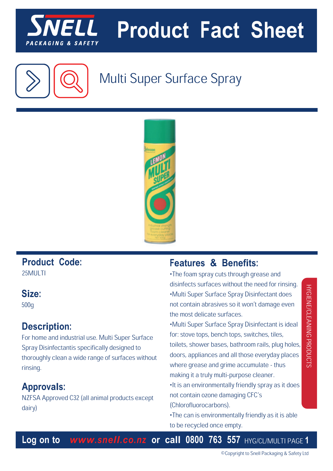

# **Product Fact Sheet**



## Multi Super Surface Spray



## **Product Code:**

25MULTI

### **Size:**

500g

## **Description:**

For home and industrial use. Multi Super Surface Spray Disinfectantis specifically designed to thoroughly clean a wide range of surfaces without rinsing.

## **Approvals:**

NZFSA Approved C32 (all animal products except dairy)

## **Features & Benefits:**

•The foam spray cuts through grease and disinfects surfaces without the need for rinsing. •Multi Super Surface Spray Disinfectant does not contain abrasives so it won't damage even the most delicate surfaces.

•Multi Super Surface Spray Disinfectant is ideal for: stove tops, bench tops, switches, tiles, toilets, shower bases, bathroom rails, plug holes, doors, appliances and all those everyday places where grease and grime accumulate - thus making it a truly multi-purpose cleaner.

•It is an environmentally friendly spray as it does not contain ozone damaging CFC's (Chlorofluorocarbons).

•The can is environmentally friendly as it is able to be recycled once empty.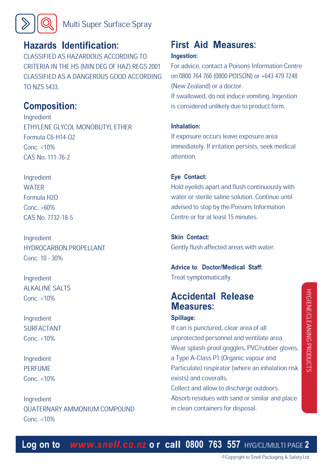

## **Hazards Identification:**

CLASSIFIED AS HAZARDOUS ACCORDING TO CRITERIA IN THE HS (MIN DEG OF HAZ) REGS 2001 CLASSIFIED AS A DANGEROUS GOOD ACCORDING TO NZS 5433.

## **Composition:**

Ingredient ETHYLENE GLYCOL MONOBUTYL ETHER Formula C6-H14-O2 Conc. <10% CAS No. 111-76-2

Ingredient **WATER** Formula H2O Conc. >60% CAS No. 7732-18-5

Ingredient HYDROCARBON PROPELLANT Conc. 10 - 30%

Ingredient ALKALINE SALTS Conc. <10%

Ingredient SURFACTANT Conc. <10%

Ingredient PERFUME Conc. <10%

Ingredient QUATERNARY AMMONIUM COMPOUND Conc. <10%

## **First Aid Measures: Ingestion:**

For advice, contact a Poisons Information Centre on 0800 764 766 (0800 POISON) or +643 479 7248 (New Zealand) or a doctor.

If swallowed, do not induce vomiting. Ingestion is considered unlikely due to product form.

#### **Inhalation:**

If exposure occurs leave exposure area immediately. If irritation persists, seek medical attention.

#### **Eye Contact:**

Hold eyelids apart and flush continuously with water or sterile saline solution. Continue until advised to stop by the Poisons Information Centre or for at least 15 minutes.

#### **Skin Contact:**

Gently flush affected areas with water.

## **Advice to Doctor/Medical Staff:**

Treat symptomatically.

## **Accidental Release Measures:**

in clean containers for disposal.

#### **Spillage:**

If can is punctured, clear area of all unprotected personnel and ventilate area. Wear splash-proof goggles, PVC/rubber gloves, a Type A-Class P1 (Organic vapour and Particulate) respirator (where an inhalation risk exists) and coveralls. Collect and allow to discharge outdoors. Absorb residues with sand or similar and place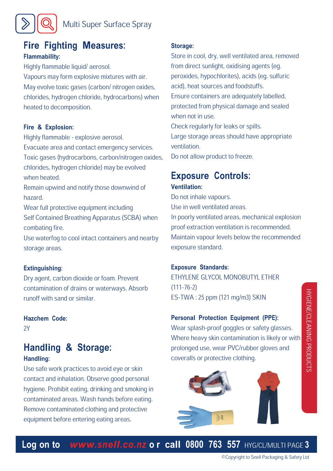### **Fire Fighting Measures: Flammability:**

Highly flammable liquid/ aerosol. Vapours may form explosive mixtures with air. May evolve toxic gases (carbon/ nitrogen oxides, chlorides, hydrogen chloride, hydrocarbons) when heated to decomposition.

#### **Fire & Explosion:**

Highly flammable - explosive aerosol. Evacuate area and contact emergency services. Toxic gases (hydrocarbons, carbon/nitrogen oxides, chlorides, hydrogen chloride) may be evolved when heated.

Remain upwind and notify those downwind of hazard.

Wear full protective equipment including Self Contained Breathing Apparatus (SCBA) when combating fire.

Use waterfog to cool intact containers and nearby storage areas.

#### **Extinguishing:**

Dry agent, carbon dioxide or foam. Prevent contamination of drains or waterways. Absorb runoff with sand or similar.

#### **Hazchem Code:**

 $2Y$ 

#### **Handling & Storage: Handling:**

Use safe work practices to avoid eye or skin contact and inhalation. Observe good personal hygiene. Prohibit eating, drinking and smoking in contaminated areas. Wash hands before eating. Remove contaminated clothing and protective equipment before entering eating areas.

#### **Storage:**

Store in cool, dry, well ventilated area, removed from direct sunlight, oxidising agents (eg. peroxides, hypochlorites), acids (eg. sulfuric acid), heat sources and foodstuffs. Ensure containers are adequately labelled, protected from physical damage and sealed when not in use. Check regularly for leaks or spills. Large storage areas should have appropriate ventilation. Do not allow product to freeze.

## **Exposure Controls:**

#### **Ventilation:**

Do not inhale vapours. Use in well ventilated areas. In poorly ventilated areas, mechanical explosion proof extraction ventilation is recommended. Maintain vapour levels below the recommended exposure standard.

#### **Exposure Standards:**

ETHYLENE GLYCOL MONOBUTYL ETHER (111-76-2) ES-TWA : 25 ppm (121 mg/m3) SKIN

#### **Personal Protection Equipment (PPE):**

Wear splash-proof goggles or safety glasses. Where heavy skin contamination is likely or with prolonged use, wear PVC/rubber gloves and coveralls or protective clothing.

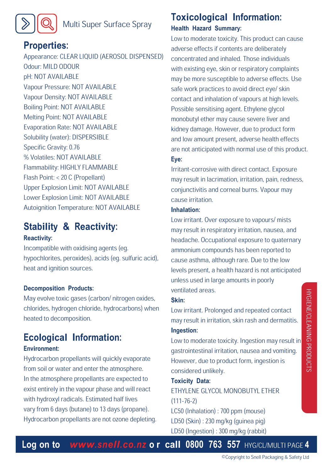## Multi Super Surface Spray

## **Properties:**

 $\odot$ 

 $\gg$ 

Appearance: CLEAR LIQUID (AEROSOL DISPENSED) Odour: MILD ODOUR pH: NOT AVAILABLE Vapour Pressure: NOT AVAILABLE Vapour Density: NOT AVAILABLE Boiling Point: NOT AVAILABLE Melting Point: NOT AVAILABLE Evaporation Rate: NOT AVAILABLE Solubility (water): DISPERSIBLE Specific Gravity: 0.76 % Volatiles: NOT AVAILABLE Flammability: HIGHLY FLAMMABLE Flash Point: < 20 C (Propellant) Upper Explosion Limit: NOT AVAILABLE Lower Explosion Limit: NOT AVAILABLE Autoignition Temperature: NOT AVAILABLE

#### **Stability & Reactivity: Reactivity:**

Incompatible with oxidising agents (eg. hypochlorites, peroxides), acids (eg. sulfuric acid), heat and ignition sources.

#### **Decomposition Products:**

May evolve toxic gases (carbon/ nitrogen oxides, chlorides, hydrogen chloride, hydrocarbons) when heated to decomposition.

#### **Ecological Information: Environment:**

Hydrocarbon propellants will quickly evaporate from soil or water and enter the atmosphere. In the atmosphere propellants are expected to exist entirely in the vapour phase and will react with hydroxyl radicals. Estimated half lives vary from 6 days (butane) to 13 days (propane). Hydrocarbon propellants are not ozone depleting.

## **Toxicological Information:**

#### **Health Hazard Summary:**

Low to moderate toxicity. This product can cause adverse effects if contents are deliberately concentrated and inhaled. Those individuals with existing eye, skin or respiratory complaints may be more susceptible to adverse effects. Use safe work practices to avoid direct eye/ skin contact and inhalation of vapours at high levels. Possible sensitising agent. Ethylene glycol monobutyl ether may cause severe liver and kidney damage. However, due to product form and low amount present, adverse health effects are not anticipated with normal use of this product. **Eye:**

Irritant-corrosive with direct contact. Exposure may result in lacrimation, irritation, pain, redness, conjunctivitis and corneal burns. Vapour may cause irritation.

#### **Inhalation:**

Low irritant. Over exposure to vapours/ mists may result in respiratory irritation, nausea, and headache. Occupational exposure to quaternary ammonium compounds has been reported to cause asthma, although rare. Due to the low levels present, a health hazard is not anticipated unless used in large amounts in poorly ventilated areas.

#### **Skin:**

Low irritant. Prolonged and repeated contact may result in irritation, skin rash and dermatitis. **Ingestion:**

Low to moderate toxicity. Ingestion may result in gastrointestinal irritation, nausea and vomiting. However, due to product form, ingestion is considered unlikely.

#### **Toxicity Data:**

ETHYLENE GLYCOL MONOBUTYL ETHER (111-76-2)

LC50 (Inhalation) : 700 ppm (mouse)

- LD50 (Skin) : 230 mg/kg (guinea pig)
- LD50 (Ingestion) : 300 mg/kg (rabbit)